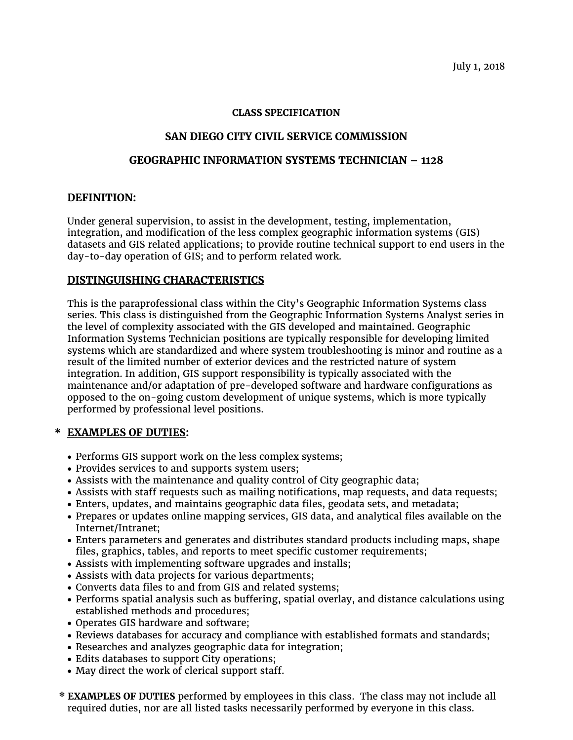### **CLASS SPECIFICATION**

# **SAN DIEGO CITY CIVIL SERVICE COMMISSION**

#### **GEOGRAPHIC INFORMATION SYSTEMS TECHNICIAN – 1128**

#### **DEFINITION:**

Under general supervision, to assist in the development, testing, implementation, integration, and modification of the less complex geographic information systems (GIS) datasets and GIS related applications; to provide routine technical support to end users in the day-to-day operation of GIS; and to perform related work.

#### **DISTINGUISHING CHARACTERISTICS**

This is the paraprofessional class within the City's Geographic Information Systems class series. This class is distinguished from the Geographic Information Systems Analyst series in the level of complexity associated with the GIS developed and maintained. Geographic Information Systems Technician positions are typically responsible for developing limited systems which are standardized and where system troubleshooting is minor and routine as a result of the limited number of exterior devices and the restricted nature of system integration. In addition, GIS support responsibility is typically associated with the maintenance and/or adaptation of pre-developed software and hardware configurations as opposed to the on-going custom development of unique systems, which is more typically performed by professional level positions.

## **\* EXAMPLES OF DUTIES:**

- Performs GIS support work on the less complex systems;
- Provides services to and supports system users;
- Assists with the maintenance and quality control of City geographic data;
- Assists with staff requests such as mailing notifications, map requests, and data requests;
- Enters, updates, and maintains geographic data files, geodata sets, and metadata;
- Prepares or updates online mapping services, GIS data, and analytical files available on the Internet/Intranet;
- Enters parameters and generates and distributes standard products including maps, shape files, graphics, tables, and reports to meet specific customer requirements;
- Assists with implementing software upgrades and installs;
- Assists with data projects for various departments;
- Converts data files to and from GIS and related systems;
- Performs spatial analysis such as buffering, spatial overlay, and distance calculations using established methods and procedures;
- Operates GIS hardware and software;
- Reviews databases for accuracy and compliance with established formats and standards;
- Researches and analyzes geographic data for integration;
- Edits databases to support City operations;
- May direct the work of clerical support staff.
- **\* EXAMPLES OF DUTIES** performed by employees in this class. The class may not include all required duties, nor are all listed tasks necessarily performed by everyone in this class.